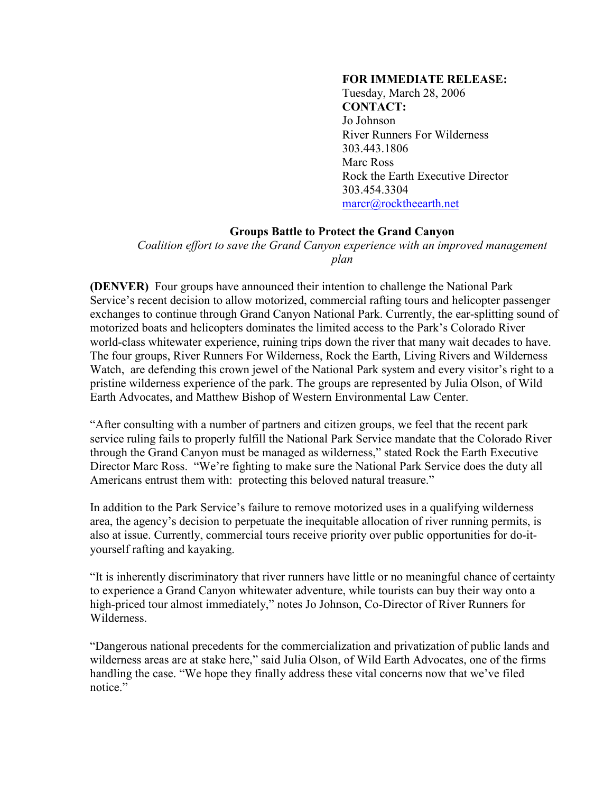## **FOR IMMEDIATE RELEASE:**

Tuesday, March 28, 2006 **CONTACT:** Jo Johnson River Runners For Wilderness 303.443.1806 Marc Ross Rock the Earth Executive Director 303.454.3304 [marcr@rocktheearth.net](mailto:marcr@rocktheearth.net) 

## **Groups Battle to Protect the Grand Canyon**

*Coalition effort to save the Grand Canyon experience with an improved management plan*

**(DENVER)** Four groups have announced their intention to challenge the National Park Service's recent decision to allow motorized, commercial rafting tours and helicopter passenger exchanges to continue through Grand Canyon National Park. Currently, the ear-splitting sound of motorized boats and helicopters dominates the limited access to the Park's Colorado River world-class whitewater experience, ruining trips down the river that many wait decades to have. The four groups, River Runners For Wilderness, Rock the Earth, Living Rivers and Wilderness Watch, are defending this crown jewel of the National Park system and every visitor's right to a pristine wilderness experience of the park. The groups are represented by Julia Olson, of Wild Earth Advocates, and Matthew Bishop of Western Environmental Law Center.

"After consulting with a number of partners and citizen groups, we feel that the recent park service ruling fails to properly fulfill the National Park Service mandate that the Colorado River through the Grand Canyon must be managed as wilderness," stated Rock the Earth Executive Director Marc Ross. "We're fighting to make sure the National Park Service does the duty all Americans entrust them with: protecting this beloved natural treasure."

In addition to the Park Service's failure to remove motorized uses in a qualifying wilderness area, the agency's decision to perpetuate the inequitable allocation of river running permits, is also at issue. Currently, commercial tours receive priority over public opportunities for do-ityourself rafting and kayaking.

"It is inherently discriminatory that river runners have little or no meaningful chance of certainty to experience a Grand Canyon whitewater adventure, while tourists can buy their way onto a high-priced tour almost immediately," notes Jo Johnson, Co-Director of River Runners for Wilderness.

"Dangerous national precedents for the commercialization and privatization of public lands and wilderness areas are at stake here," said Julia Olson, of Wild Earth Advocates, one of the firms handling the case. "We hope they finally address these vital concerns now that we've filed notice."